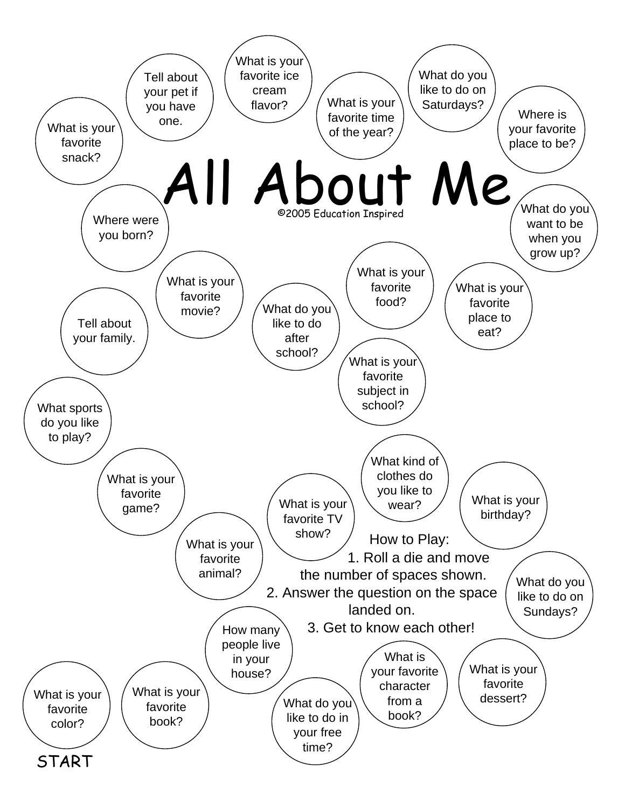